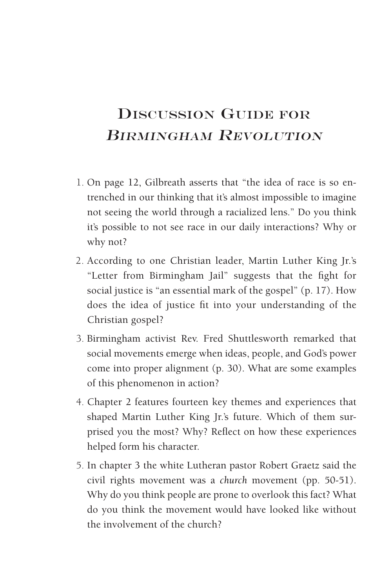## Discussion Guide for BIRMINGHAM REVOLUTION

- 1. On page 12, Gilbreath asserts that "the idea of race is so entrenched in our thinking that it's almost impossible to imagine not seeing the world through a racialized lens." Do you think it's possible to not see race in our daily interactions? Why or why not?
- 2. According to one Christian leader, Martin Luther King Jr.'s "Letter from Birmingham Jail" suggests that the fight for social justice is "an essential mark of the gospel" (p. 17). How does the idea of justice fit into your understanding of the Christian gospel?
- 3. Birmingham activist Rev. Fred Shuttlesworth remarked that social movements emerge when ideas, people, and God's power come into proper alignment (p. 30). What are some examples of this phenomenon in action?
- 4. Chapter 2 features fourteen key themes and experiences that shaped Martin Luther King Jr.'s future. Which of them surprised you the most? Why? Reflect on how these experiences helped form his character.
- 5. In chapter 3 the white Lutheran pastor Robert Graetz said the civil rights movement was a *church* movement (pp. 50-51). Why do you think people are prone to overlook this fact? What do you think the movement would have looked like without the involvement of the church?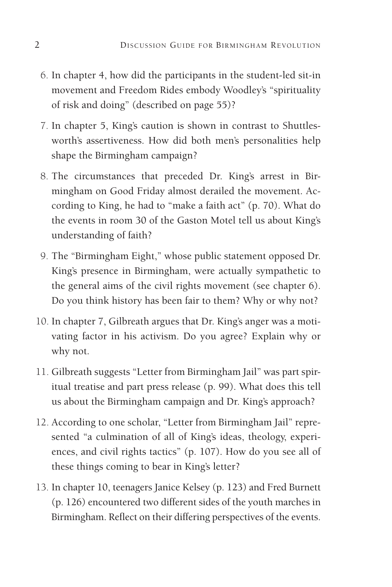- 6. In chapter 4, how did the participants in the student-led sit-in movement and Freedom Rides embody Woodley's "spirituality of risk and doing" (described on page 55)?
- 7. In chapter 5, King's caution is shown in contrast to Shuttlesworth's assertiveness. How did both men's personalities help shape the Birmingham campaign?
- 8. The circumstances that preceded Dr. King's arrest in Birmingham on Good Friday almost derailed the movement. According to King, he had to "make a faith act" (p. 70). What do the events in room 30 of the Gaston Motel tell us about King's understanding of faith?
- 9. The "Birmingham Eight," whose public statement opposed Dr. King's presence in Birmingham, were actually sympathetic to the general aims of the civil rights movement (see chapter 6). Do you think history has been fair to them? Why or why not?
- 10. In chapter 7, Gilbreath argues that Dr. King's anger was a motivating factor in his activism. Do you agree? Explain why or why not.
- 11. Gilbreath suggests "Letter from Birmingham Jail" was part spiritual treatise and part press release (p. 99). What does this tell us about the Birmingham campaign and Dr. King's approach?
- 12. According to one scholar, "Letter from Birmingham Jail" represented "a culmination of all of King's ideas, theology, experiences, and civil rights tactics" (p. 107). How do you see all of these things coming to bear in King's letter?
- 13. In chapter 10, teenagers Janice Kelsey (p. 123) and Fred Burnett (p. 126) encountered two different sides of the youth marches in Birmingham. Reflect on their differing perspectives of the events.